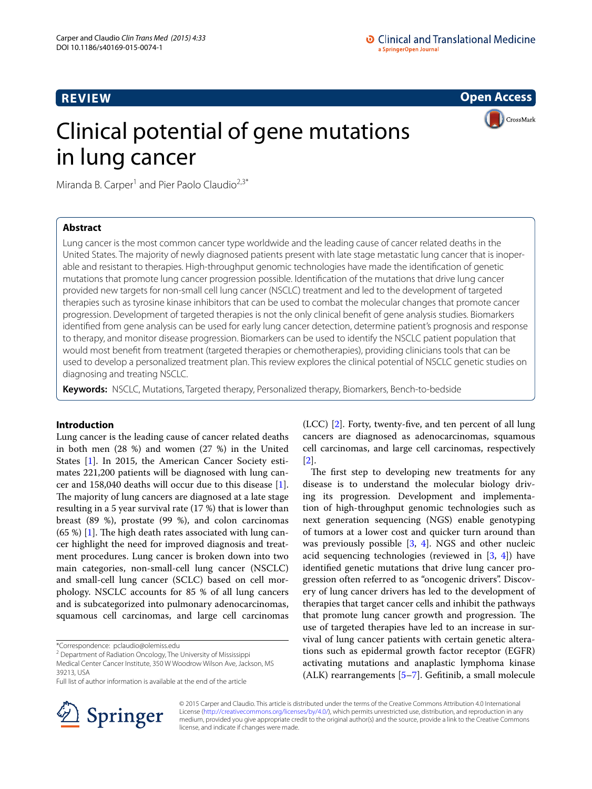# **REVIEW**

**Open Access**

CrossMark

# Clinical potential of gene mutations in lung cancer

Miranda B. Carper<sup>1</sup> and Pier Paolo Claudio<sup>2,3\*</sup>

# **Abstract**

Lung cancer is the most common cancer type worldwide and the leading cause of cancer related deaths in the United States. The majority of newly diagnosed patients present with late stage metastatic lung cancer that is inoperable and resistant to therapies. High-throughput genomic technologies have made the identification of genetic mutations that promote lung cancer progression possible. Identification of the mutations that drive lung cancer provided new targets for non-small cell lung cancer (NSCLC) treatment and led to the development of targeted therapies such as tyrosine kinase inhibitors that can be used to combat the molecular changes that promote cancer progression. Development of targeted therapies is not the only clinical benefit of gene analysis studies. Biomarkers identified from gene analysis can be used for early lung cancer detection, determine patient's prognosis and response to therapy, and monitor disease progression. Biomarkers can be used to identify the NSCLC patient population that would most benefit from treatment (targeted therapies or chemotherapies), providing clinicians tools that can be used to develop a personalized treatment plan. This review explores the clinical potential of NSCLC genetic studies on diagnosing and treating NSCLC.

**Keywords:** NSCLC, Mutations, Targeted therapy, Personalized therapy, Biomarkers, Bench-to-bedside

# **Introduction**

Lung cancer is the leading cause of cancer related deaths in both men (28 %) and women (27 %) in the United States [\[1](#page-9-0)]. In 2015, the American Cancer Society estimates 221,200 patients will be diagnosed with lung cancer and 158,040 deaths will occur due to this disease [\[1](#page-9-0)]. The majority of lung cancers are diagnosed at a late stage resulting in a 5 year survival rate (17 %) that is lower than breast (89 %), prostate (99 %), and colon carcinomas  $(65%)$  [[1\]](#page-9-0). The high death rates associated with lung cancer highlight the need for improved diagnosis and treatment procedures. Lung cancer is broken down into two main categories, non-small-cell lung cancer (NSCLC) and small-cell lung cancer (SCLC) based on cell morphology. NSCLC accounts for 85 % of all lung cancers and is subcategorized into pulmonary adenocarcinomas, squamous cell carcinomas, and large cell carcinomas

\*Correspondence: pclaudio@olemiss.edu

<sup>2</sup> Department of Radiation Oncology, The University of Mississippi Medical Center Cancer Institute, 350 W Woodrow Wilson Ave, Jackson, MS 39213, USA

Full list of author information is available at the end of the article



(LCC) [[2\]](#page-9-1). Forty, twenty-five, and ten percent of all lung cancers are diagnosed as adenocarcinomas, squamous cell carcinomas, and large cell carcinomas, respectively [[2\]](#page-9-1).

The first step to developing new treatments for any disease is to understand the molecular biology driving its progression. Development and implementation of high-throughput genomic technologies such as next generation sequencing (NGS) enable genotyping of tumors at a lower cost and quicker turn around than was previously possible [\[3](#page-9-2), [4\]](#page-9-3). NGS and other nucleic acid sequencing technologies (reviewed in [[3,](#page-9-2) [4](#page-9-3)]) have identified genetic mutations that drive lung cancer progression often referred to as "oncogenic drivers". Discovery of lung cancer drivers has led to the development of therapies that target cancer cells and inhibit the pathways that promote lung cancer growth and progression. The use of targeted therapies have led to an increase in survival of lung cancer patients with certain genetic alterations such as epidermal growth factor receptor (EGFR) activating mutations and anaplastic lymphoma kinase (ALK) rearrangements [[5–](#page-9-4)[7\]](#page-9-5). Gefitinib, a small molecule

© 2015 Carper and Claudio. This article is distributed under the terms of the Creative Commons Attribution 4.0 International License (<http://creativecommons.org/licenses/by/4.0/>), which permits unrestricted use, distribution, and reproduction in any medium, provided you give appropriate credit to the original author(s) and the source, provide a link to the Creative Commons license, and indicate if changes were made.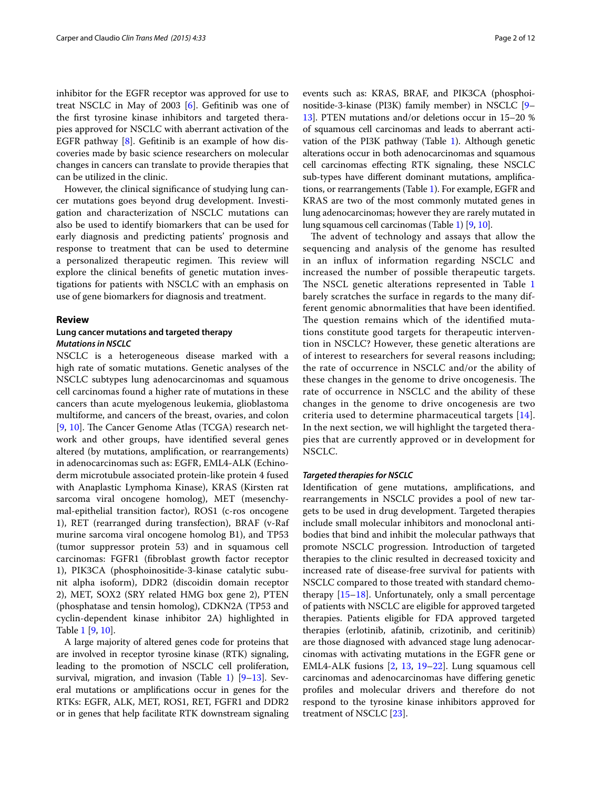inhibitor for the EGFR receptor was approved for use to treat NSCLC in May of 2003 [\[6\]](#page-9-6). Gefitinib was one of the first tyrosine kinase inhibitors and targeted therapies approved for NSCLC with aberrant activation of the EGFR pathway  $[8]$  $[8]$ . Gefitinib is an example of how discoveries made by basic science researchers on molecular changes in cancers can translate to provide therapies that can be utilized in the clinic.

However, the clinical significance of studying lung cancer mutations goes beyond drug development. Investigation and characterization of NSCLC mutations can also be used to identify biomarkers that can be used for early diagnosis and predicting patients' prognosis and response to treatment that can be used to determine a personalized therapeutic regimen. This review will explore the clinical benefits of genetic mutation investigations for patients with NSCLC with an emphasis on use of gene biomarkers for diagnosis and treatment.

### **Review**

# **Lung cancer mutations and targeted therapy** *Mutations in NSCLC*

NSCLC is a heterogeneous disease marked with a high rate of somatic mutations. Genetic analyses of the NSCLC subtypes lung adenocarcinomas and squamous cell carcinomas found a higher rate of mutations in these cancers than acute myelogenous leukemia, glioblastoma multiforme, and cancers of the breast, ovaries, and colon [[9,](#page-9-8) [10\]](#page-9-9). The Cancer Genome Atlas (TCGA) research network and other groups, have identified several genes altered (by mutations, amplification, or rearrangements) in adenocarcinomas such as: EGFR, EML4-ALK (Echinoderm microtubule associated protein-like protein 4 fused with Anaplastic Lymphoma Kinase), KRAS (Kirsten rat sarcoma viral oncogene homolog), MET (mesenchymal-epithelial transition factor), ROS1 (c-ros oncogene 1), RET (rearranged during transfection), BRAF (v-Raf murine sarcoma viral oncogene homolog B1), and TP53 (tumor suppressor protein 53) and in squamous cell carcinomas: FGFR1 (fibroblast growth factor receptor 1), PIK3CA (phosphoinositide-3-kinase catalytic subunit alpha isoform), DDR2 (discoidin domain receptor 2), MET, SOX2 (SRY related HMG box gene 2), PTEN (phosphatase and tensin homolog), CDKN2A (TP53 and cyclin-dependent kinase inhibitor 2A) highlighted in Table [1](#page-2-0) [[9,](#page-9-8) [10\]](#page-9-9).

A large majority of altered genes code for proteins that are involved in receptor tyrosine kinase (RTK) signaling, leading to the promotion of NSCLC cell proliferation, survival, migration, and invasion (Table [1](#page-2-0)) [[9](#page-9-8)[–13](#page-9-10)]. Several mutations or amplifications occur in genes for the RTKs: EGFR, ALK, MET, ROS1, RET, FGFR1 and DDR2 or in genes that help facilitate RTK downstream signaling

events such as: KRAS, BRAF, and PIK3CA (phosphoinositide-3-kinase (PI3K) family member) in NSCLC [[9–](#page-9-8) [13](#page-9-10)]. PTEN mutations and/or deletions occur in 15–20 % of squamous cell carcinomas and leads to aberrant activation of the PI3K pathway (Table [1](#page-2-0)). Although genetic alterations occur in both adenocarcinomas and squamous cell carcinomas effecting RTK signaling, these NSCLC sub-types have different dominant mutations, amplifications, or rearrangements (Table [1](#page-2-0)). For example, EGFR and KRAS are two of the most commonly mutated genes in lung adenocarcinomas; however they are rarely mutated in lung squamous cell carcinomas (Table [1](#page-2-0)) [[9,](#page-9-8) [10\]](#page-9-9).

The advent of technology and assays that allow the sequencing and analysis of the genome has resulted in an influx of information regarding NSCLC and increased the number of possible therapeutic targets. The NSCL genetic alterations represented in Table [1](#page-2-0) barely scratches the surface in regards to the many different genomic abnormalities that have been identified. The question remains which of the identified mutations constitute good targets for therapeutic intervention in NSCLC? However, these genetic alterations are of interest to researchers for several reasons including; the rate of occurrence in NSCLC and/or the ability of these changes in the genome to drive oncogenesis. The rate of occurrence in NSCLC and the ability of these changes in the genome to drive oncogenesis are two criteria used to determine pharmaceutical targets [[14\]](#page-9-11). In the next section, we will highlight the targeted therapies that are currently approved or in development for NSCLC.

# *Targeted therapies for NSCLC*

Identification of gene mutations, amplifications, and rearrangements in NSCLC provides a pool of new targets to be used in drug development. Targeted therapies include small molecular inhibitors and monoclonal antibodies that bind and inhibit the molecular pathways that promote NSCLC progression. Introduction of targeted therapies to the clinic resulted in decreased toxicity and increased rate of disease-free survival for patients with NSCLC compared to those treated with standard chemotherapy  $[15-18]$  $[15-18]$ . Unfortunately, only a small percentage of patients with NSCLC are eligible for approved targeted therapies. Patients eligible for FDA approved targeted therapies (erlotinib, afatinib, crizotinib, and ceritinib) are those diagnosed with advanced stage lung adenocarcinomas with activating mutations in the EGFR gene or EML4-ALK fusions [\[2,](#page-9-1) [13,](#page-9-10) [19–](#page-9-14)[22](#page-9-15)]. Lung squamous cell carcinomas and adenocarcinomas have differing genetic profiles and molecular drivers and therefore do not respond to the tyrosine kinase inhibitors approved for treatment of NSCLC [\[23](#page-9-16)].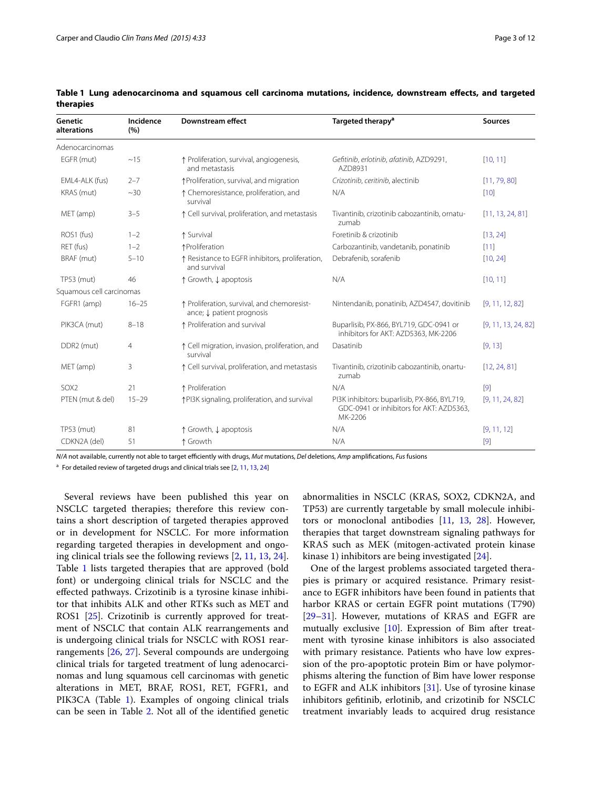| Genetic<br>alterations   | Incidence<br>(%) | Downstream effect                                                        | Targeted therapy <sup>a</sup>                                                                       | <b>Sources</b>      |
|--------------------------|------------------|--------------------------------------------------------------------------|-----------------------------------------------------------------------------------------------------|---------------------|
| Adenocarcinomas          |                  |                                                                          |                                                                                                     |                     |
| EGFR (mut)               | ~15              | ↑ Proliferation, survival, angiogenesis,<br>and metastasis               | Gefitinib, erlotinib, afatinib, AZD9291,<br>AZD8931                                                 | [10, 11]            |
| EML4-ALK (fus)           | $2 - 7$          | ↑Proliferation, survival, and migration                                  | Crizotinib, ceritinib, alectinib                                                                    | [11, 79, 80]        |
| KRAS (mut)               | $~10^{-30}$      | ↑ Chemoresistance, proliferation, and<br>survival                        | N/A                                                                                                 | [10]                |
| MET (amp)                | $3 - 5$          | ↑ Cell survival, proliferation, and metastasis                           | Tivantinib, crizotinib cabozantinib, ornatu-<br>zumab                                               | [11, 13, 24, 81]    |
| ROS1 (fus)               | $1 - 2$          | ↑ Survival                                                               | Foretinib & crizotinib                                                                              | [13, 24]            |
| RET (fus)                | $1 - 2$          | ↑Proliferation                                                           | Carbozantinib, vandetanib, ponatinib                                                                | [11]                |
| BRAF (mut)               | $5 - 10$         | ↑ Resistance to EGFR inhibitors, proliferation,<br>and survival          | Debrafenib, sorafenib                                                                               | [10, 24]            |
| TP53 (mut)               | 46               | ↑ Growth, ↓ apoptosis                                                    | N/A                                                                                                 | [10, 11]            |
| Squamous cell carcinomas |                  |                                                                          |                                                                                                     |                     |
| FGFR1 (amp)              | $16 - 25$        | ↑ Proliferation, survival, and chemoresist-<br>ance; ↓ patient prognosis | Nintendanib, ponatinib, AZD4547, dovitinib                                                          | [9, 11, 12, 82]     |
| PIK3CA (mut)             | $8 - 18$         | ↑ Proliferation and survival                                             | Buparlisib, PX-866, BYL719, GDC-0941 or<br>inhibitors for AKT: AZD5363, MK-2206                     | [9, 11, 13, 24, 82] |
| DDR <sub>2</sub> (mut)   | $\overline{4}$   | ↑ Cell migration, invasion, proliferation, and<br>survival               | Dasatinib                                                                                           | [9, 13]             |
| MET (amp)                | 3                | ↑ Cell survival, proliferation, and metastasis                           | Tivantinib, crizotinib cabozantinib, onartu-<br>zumab                                               | [12, 24, 81]        |
| SOX <sub>2</sub>         | 21               | ↑ Proliferation                                                          | N/A                                                                                                 | [9]                 |
| PTEN (mut & del)         | $15 - 29$        | ↑PI3K signaling, proliferation, and survival                             | PI3K inhibitors: buparlisib, PX-866, BYL719,<br>GDC-0941 or inhibitors for AKT: AZD5363,<br>MK-2206 | [9, 11, 24, 82]     |
| TP53 (mut)               | 81               | ↑ Growth, ↓ apoptosis                                                    | N/A                                                                                                 | [9, 11, 12]         |
| CDKN2A (del)             | 51               | ↑ Growth                                                                 | N/A                                                                                                 | $[9]$               |

<span id="page-2-0"></span>**Table 1 Lung adenocarcinoma and squamous cell carcinoma mutations, incidence, downstream effects, and targeted therapies**

*N*/*A* not available, currently not able to target efficiently with drugs, *Mut* mutations, *Del* deletions, *Amp* amplifications, *Fus* fusions

<sup>a</sup> For detailed review of targeted drugs and clinical trials see [[2](#page-9-1), [11,](#page-9-17) [13,](#page-9-10) [24\]](#page-9-18)

Several reviews have been published this year on NSCLC targeted therapies; therefore this review contains a short description of targeted therapies approved or in development for NSCLC. For more information regarding targeted therapies in development and ongoing clinical trials see the following reviews [\[2,](#page-9-1) [11,](#page-9-17) [13](#page-9-10), [24](#page-9-18)]. Table [1](#page-2-0) lists targeted therapies that are approved (bold font) or undergoing clinical trials for NSCLC and the effected pathways. Crizotinib is a tyrosine kinase inhibitor that inhibits ALK and other RTKs such as MET and ROS1 [\[25](#page-9-19)]. Crizotinib is currently approved for treatment of NSCLC that contain ALK rearrangements and is undergoing clinical trials for NSCLC with ROS1 rearrangements [[26,](#page-9-20) [27\]](#page-9-21). Several compounds are undergoing clinical trials for targeted treatment of lung adenocarcinomas and lung squamous cell carcinomas with genetic alterations in MET, BRAF, ROS1, RET, FGFR1, and PIK3CA (Table [1](#page-2-0)). Examples of ongoing clinical trials can be seen in Table [2](#page-3-0). Not all of the identified genetic

abnormalities in NSCLC (KRAS, SOX2, CDKN2A, and TP53) are currently targetable by small molecule inhibitors or monoclonal antibodies [[11,](#page-9-17) [13](#page-9-10), [28](#page-9-22)]. However, therapies that target downstream signaling pathways for KRAS such as MEK (mitogen-activated protein kinase kinase 1) inhibitors are being investigated [[24](#page-9-18)].

One of the largest problems associated targeted therapies is primary or acquired resistance. Primary resistance to EGFR inhibitors have been found in patients that harbor KRAS or certain EGFR point mutations (T790) [[29–](#page-9-23)[31\]](#page-9-24). However, mutations of KRAS and EGFR are mutually exclusive [[10\]](#page-9-9). Expression of Bim after treatment with tyrosine kinase inhibitors is also associated with primary resistance. Patients who have low expression of the pro-apoptotic protein Bim or have polymorphisms altering the function of Bim have lower response to EGFR and ALK inhibitors [\[31](#page-9-24)]. Use of tyrosine kinase inhibitors gefitinib, erlotinib, and crizotinib for NSCLC treatment invariably leads to acquired drug resistance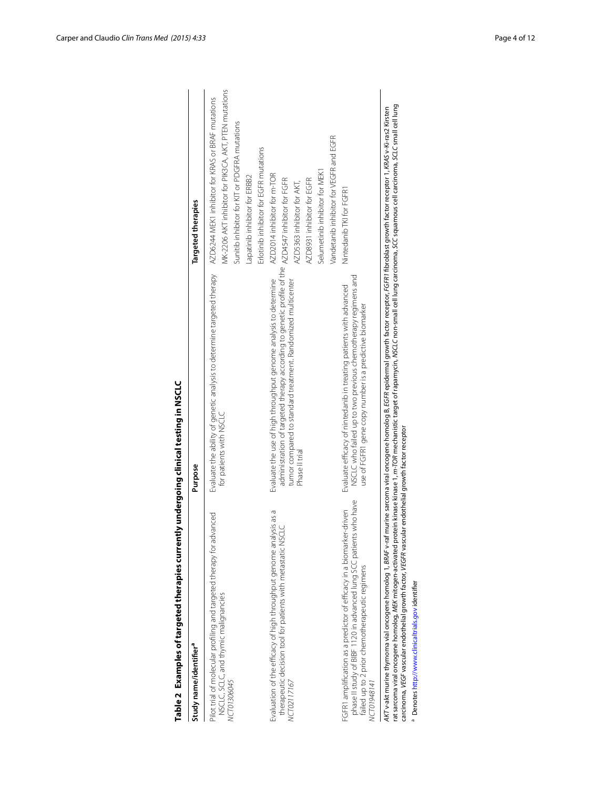| Study name/identifier <sup>a</sup>                                                                                                                                                                          | Purpose                                                                                                                                                                                                                                                                                                                                                                                                                | Targeted therapies                                                                                                                                                                                                                     |
|-------------------------------------------------------------------------------------------------------------------------------------------------------------------------------------------------------------|------------------------------------------------------------------------------------------------------------------------------------------------------------------------------------------------------------------------------------------------------------------------------------------------------------------------------------------------------------------------------------------------------------------------|----------------------------------------------------------------------------------------------------------------------------------------------------------------------------------------------------------------------------------------|
| Pilot trial of molecular profiling and targeted therapy for advanced<br>NSCLC, sclLC, and thymic malignancies<br>NCT01306045                                                                                | Evaluate the ability of genetic analysis to determine targeted therapy<br>for patients with NSCLC                                                                                                                                                                                                                                                                                                                      | MK-2206 AKT inhibitor for PIK3CA, AKT, PTEN mutations<br>AZD6244 MEK1 inhibitor for KRAS or BRAF mutations<br>Sunitib inhibitor for KIT or PDGFRA mutations<br>Erlotinib inhibitor for EGFR mutations<br>Lapatinib inhibitor for ERBB2 |
| Evaluation of the efficacy of high throughput genome analysis as a<br>therapeutic decision tool for patients with metastatic NSCLC<br>NCT02117167                                                           | administration of targeted therapy according to genetic profile of the AZD4547 inhibitor for FGFR<br>Evaluate the use of high throughput genome analysis to determine<br>tumor compared to standard treatment. Randomized multicenter<br>Phase II trial                                                                                                                                                                | Vandetanib inhibitor for VEGFR and EGFR<br>Selumetinib inhibitor for MEK1<br>AZD2014 inhibitor for m-TOR<br>AZD8931 inhibitor for EGFR<br>AZD5363 inhibitor for AKT,                                                                   |
| FGFR1 amplification as a predictor of efficacy in a biomarker-driven<br>phase II study of BIBF 1120 in advanced lung SCC patients who have<br>failed up to 2 prior chemotherapeutic regimens<br>VCT01948141 | NSCLC who failed up to two previous chemotherapy regimens and<br>Evaluate efficacy of nintedanib in treating patients with advanced<br>use of FGFR1 gene copy number is a predictive biomarker                                                                                                                                                                                                                         | Nintedanib TKI for FGFR1                                                                                                                                                                                                               |
| AKT v-akt murine thymoma vial oncogene homolog 1, BRAF v-raf<br>carcinoma, VEGF vascular endothelial growth factor, VEGFR vascu<br><sup>3</sup> Denotes http://www.clinicaltrials.gov identifier            | rat sarcoma viral oncogene homolog, MEK mitogen-activated protein kinase kinase 1, <i>m-TOR</i> mechanistic target of rapamycin, NSCLC non-small cell lung carcinoma, SCC squamous cell carcinoma, SCLC small cell lung<br>murine sarcoma viral oncogene homolog B, EGFR epidermal growth factor receptor, FGFR1 fibroblast growth factor receptor 1, KRAS v-Ki-ras2 Kirsten<br>lar endothelial growth factor receptor |                                                                                                                                                                                                                                        |

<span id="page-3-0"></span>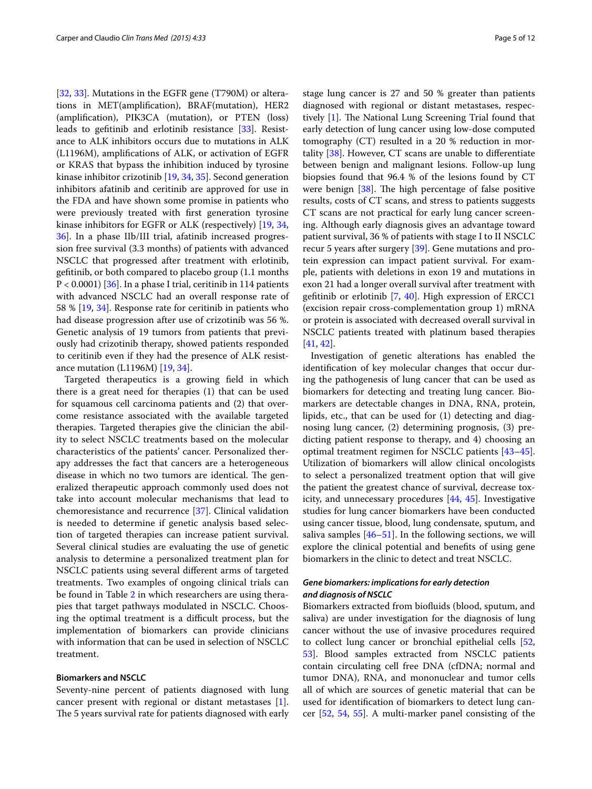[[32,](#page-9-26) [33](#page-10-0)]. Mutations in the EGFR gene (T790M) or alterations in MET(amplification), BRAF(mutation), HER2 (amplification), PIK3CA (mutation), or PTEN (loss) leads to gefitinib and erlotinib resistance [[33\]](#page-10-0). Resistance to ALK inhibitors occurs due to mutations in ALK (L1196M), amplifications of ALK, or activation of EGFR or KRAS that bypass the inhibition induced by tyrosine kinase inhibitor crizotinib [\[19](#page-9-14), [34,](#page-10-1) [35\]](#page-10-2). Second generation inhibitors afatinib and ceritinib are approved for use in the FDA and have shown some promise in patients who were previously treated with first generation tyrosine kinase inhibitors for EGFR or ALK (respectively) [[19](#page-9-14), [34](#page-10-1), [36\]](#page-10-3). In a phase IIb/III trial, afatinib increased progression free survival (3.3 months) of patients with advanced NSCLC that progressed after treatment with erlotinib, gefitinib, or both compared to placebo group (1.1 months P < 0.0001) [\[36](#page-10-3)]. In a phase I trial, ceritinib in 114 patients with advanced NSCLC had an overall response rate of 58 % [\[19,](#page-9-14) [34\]](#page-10-1). Response rate for ceritinib in patients who had disease progression after use of crizotinib was 56 %. Genetic analysis of 19 tumors from patients that previously had crizotinib therapy, showed patients responded to ceritinib even if they had the presence of ALK resistance mutation (L1196M) [[19,](#page-9-14) [34](#page-10-1)].

Targeted therapeutics is a growing field in which there is a great need for therapies (1) that can be used for squamous cell carcinoma patients and (2) that overcome resistance associated with the available targeted therapies. Targeted therapies give the clinician the ability to select NSCLC treatments based on the molecular characteristics of the patients' cancer. Personalized therapy addresses the fact that cancers are a heterogeneous disease in which no two tumors are identical. The generalized therapeutic approach commonly used does not take into account molecular mechanisms that lead to chemoresistance and recurrence [[37\]](#page-10-4). Clinical validation is needed to determine if genetic analysis based selection of targeted therapies can increase patient survival. Several clinical studies are evaluating the use of genetic analysis to determine a personalized treatment plan for NSCLC patients using several different arms of targeted treatments. Two examples of ongoing clinical trials can be found in Table [2](#page-3-0) in which researchers are using therapies that target pathways modulated in NSCLC. Choosing the optimal treatment is a difficult process, but the implementation of biomarkers can provide clinicians with information that can be used in selection of NSCLC treatment.

# **Biomarkers and NSCLC**

Seventy-nine percent of patients diagnosed with lung cancer present with regional or distant metastases [\[1](#page-9-0)]. The 5 years survival rate for patients diagnosed with early

stage lung cancer is 27 and 50 % greater than patients diagnosed with regional or distant metastases, respectively [\[1](#page-9-0)]. The National Lung Screening Trial found that early detection of lung cancer using low-dose computed tomography  $(CT)$  resulted in a 20 % reduction in mortality  $[38]$  $[38]$ . However, CT scans are unable to differentiate between benign and malignant lesions. Follow-up lung biopsies found that 96.4 % of the lesions found by CT were benign [\[38](#page-10-5)]. The high percentage of false positive results, costs of CT scans, and stress to patients suggests CT scans are not practical for early lung cancer screening. Although early diagnosis gives an advantage toward patient survival, 36 % of patients with stage I to II NSCLC recur 5 years after surgery [\[39](#page-10-6)]. Gene mutations and protein expression can impact patient survival. For example, patients with deletions in exon 19 and mutations in exon 21 had a longer overall survival after treatment with gefitinib or erlotinib [\[7](#page-9-5), [40\]](#page-10-7). High expression of ERCC1 (excision repair cross-complementation group 1) mRNA or protein is associated with decreased overall survival in NSCLC patients treated with platinum based therapies [[41,](#page-10-8) [42](#page-10-9)].

Investigation of genetic alterations has enabled the identification of key molecular changes that occur during the pathogenesis of lung cancer that can be used as biomarkers for detecting and treating lung cancer. Biomarkers are detectable changes in DNA, RNA, protein, lipids, etc., that can be used for (1) detecting and diagnosing lung cancer, (2) determining prognosis, (3) predicting patient response to therapy, and 4) choosing an optimal treatment regimen for NSCLC patients [[43](#page-10-10)[–45](#page-10-11)]. Utilization of biomarkers will allow clinical oncologists to select a personalized treatment option that will give the patient the greatest chance of survival, decrease toxicity, and unnecessary procedures [[44,](#page-10-12) [45](#page-10-11)]. Investigative studies for lung cancer biomarkers have been conducted using cancer tissue, blood, lung condensate, sputum, and saliva samples [[46](#page-10-13)[–51](#page-10-14)]. In the following sections, we will explore the clinical potential and benefits of using gene biomarkers in the clinic to detect and treat NSCLC.

# *Gene biomarkers: implications for early detection and diagnosis of NSCLC*

Biomarkers extracted from biofluids (blood, sputum, and saliva) are under investigation for the diagnosis of lung cancer without the use of invasive procedures required to collect lung cancer or bronchial epithelial cells [[52](#page-10-15), [53\]](#page-10-16). Blood samples extracted from NSCLC patients contain circulating cell free DNA (cfDNA; normal and tumor DNA), RNA, and mononuclear and tumor cells all of which are sources of genetic material that can be used for identification of biomarkers to detect lung cancer [\[52,](#page-10-15) [54,](#page-10-17) [55](#page-10-18)]. A multi-marker panel consisting of the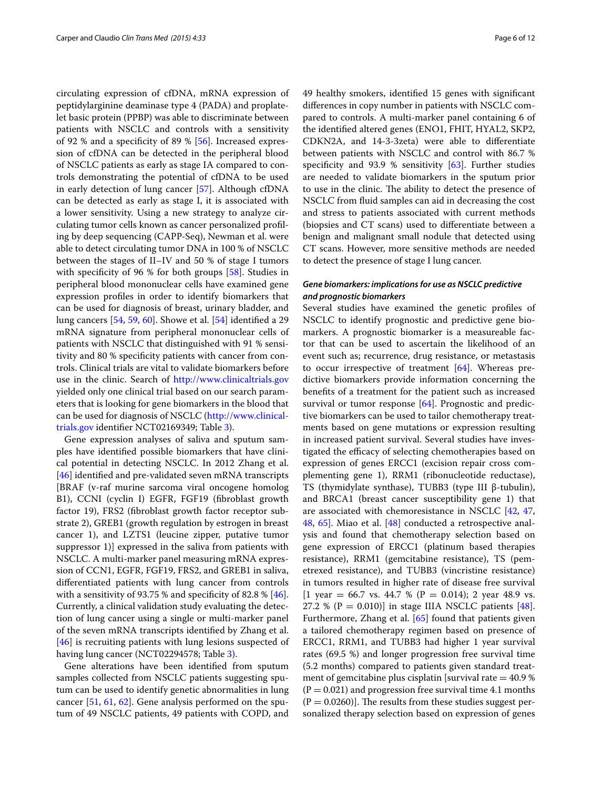circulating expression of cfDNA, mRNA expression of peptidylarginine deaminase type 4 (PADA) and proplatelet basic protein (PPBP) was able to discriminate between patients with NSCLC and controls with a sensitivity of 92 % and a specificity of 89 % [[56\]](#page-10-19). Increased expression of cfDNA can be detected in the peripheral blood of NSCLC patients as early as stage IA compared to controls demonstrating the potential of cfDNA to be used in early detection of lung cancer [\[57](#page-10-20)]. Although cfDNA can be detected as early as stage I, it is associated with a lower sensitivity. Using a new strategy to analyze circulating tumor cells known as cancer personalized profiling by deep sequencing (CAPP-Seq), Newman et al. were able to detect circulating tumor DNA in 100 % of NSCLC between the stages of II–IV and 50 % of stage I tumors with specificity of 96 % for both groups [[58](#page-10-21)]. Studies in peripheral blood mononuclear cells have examined gene expression profiles in order to identify biomarkers that can be used for diagnosis of breast, urinary bladder, and lung cancers [\[54,](#page-10-17) [59,](#page-10-22) [60](#page-10-23)]. Showe et al. [\[54](#page-10-17)] identified a 29 mRNA signature from peripheral mononuclear cells of patients with NSCLC that distinguished with 91 % sensitivity and 80 % specificity patients with cancer from controls. Clinical trials are vital to validate biomarkers before use in the clinic. Search of <http://www.clinicaltrials.gov> yielded only one clinical trial based on our search parameters that is looking for gene biomarkers in the blood that can be used for diagnosis of NSCLC [\(http://www.clinical](http://www.clinicaltrials.gov)[trials.gov](http://www.clinicaltrials.gov) identifier NCT02169349; Table [3](#page-6-0)).

Gene expression analyses of saliva and sputum samples have identified possible biomarkers that have clinical potential in detecting NSCLC. In 2012 Zhang et al. [[46\]](#page-10-13) identified and pre-validated seven mRNA transcripts [BRAF (v-raf murine sarcoma viral oncogene homolog B1), CCNI (cyclin I) EGFR, FGF19 (fibroblast growth factor 19), FRS2 (fibroblast growth factor receptor substrate 2), GREB1 (growth regulation by estrogen in breast cancer 1), and LZTS1 (leucine zipper, putative tumor suppressor 1)] expressed in the saliva from patients with NSCLC. A multi-marker panel measuring mRNA expression of CCN1, EGFR, FGF19, FRS2, and GREB1 in saliva, differentiated patients with lung cancer from controls with a sensitivity of 93.75 % and specificity of 82.8 % [\[46](#page-10-13)]. Currently, a clinical validation study evaluating the detection of lung cancer using a single or multi-marker panel of the seven mRNA transcripts identified by Zhang et al. [[46\]](#page-10-13) is recruiting patients with lung lesions suspected of having lung cancer (NCT02294578; Table [3](#page-6-0)).

Gene alterations have been identified from sputum samples collected from NSCLC patients suggesting sputum can be used to identify genetic abnormalities in lung cancer [[51,](#page-10-14) [61](#page-10-24), [62](#page-10-25)]. Gene analysis performed on the sputum of 49 NSCLC patients, 49 patients with COPD, and 49 healthy smokers, identified 15 genes with significant differences in copy number in patients with NSCLC compared to controls. A multi-marker panel containing 6 of the identified altered genes (ENO1, FHIT, HYAL2, SKP2, CDKN2A, and 14-3-3zeta) were able to differentiate between patients with NSCLC and control with 86.7 % specificity and 93.9 % sensitivity  $[63]$  $[63]$ . Further studies are needed to validate biomarkers in the sputum prior to use in the clinic. The ability to detect the presence of NSCLC from fluid samples can aid in decreasing the cost and stress to patients associated with current methods (biopsies and CT scans) used to differentiate between a benign and malignant small nodule that detected using CT scans. However, more sensitive methods are needed to detect the presence of stage I lung cancer.

# *Gene biomarkers: implications for use as NSCLC predictive and prognostic biomarkers*

Several studies have examined the genetic profiles of NSCLC to identify prognostic and predictive gene biomarkers. A prognostic biomarker is a measureable factor that can be used to ascertain the likelihood of an event such as; recurrence, drug resistance, or metastasis to occur irrespective of treatment [\[64\]](#page-10-27). Whereas predictive biomarkers provide information concerning the benefits of a treatment for the patient such as increased survival or tumor response [[64](#page-10-27)]. Prognostic and predictive biomarkers can be used to tailor chemotherapy treatments based on gene mutations or expression resulting in increased patient survival. Several studies have investigated the efficacy of selecting chemotherapies based on expression of genes ERCC1 (excision repair cross complementing gene 1), RRM1 (ribonucleotide reductase), TS (thymidylate synthase), TUBB3 (type III β-tubulin), and BRCA1 (breast cancer susceptibility gene 1) that are associated with chemoresistance in NSCLC [[42,](#page-10-9) [47](#page-10-28), [48,](#page-10-29) [65\]](#page-10-30). Miao et al. [\[48](#page-10-29)] conducted a retrospective analysis and found that chemotherapy selection based on gene expression of ERCC1 (platinum based therapies resistance), RRM1 (gemcitabine resistance), TS (pemetrexed resistance), and TUBB3 (vincristine resistance) in tumors resulted in higher rate of disease free survival [1 year = 66.7 vs. 44.7 % ( $P = 0.014$ ); 2 year 48.9 vs. 27.2 % ( $P = 0.010$ )] in stage IIIA NSCLC patients [\[48](#page-10-29)]. Furthermore, Zhang et al. [\[65](#page-10-30)] found that patients given a tailored chemotherapy regimen based on presence of ERCC1, RRM1, and TUBB3 had higher 1 year survival rates (69.5 %) and longer progression free survival time (5.2 months) compared to patients given standard treatment of gemcitabine plus cisplatin [survival rate  $=$  40.9 %  $(P = 0.021)$  and progression free survival time 4.1 months  $(P = 0.0260)$ . The results from these studies suggest personalized therapy selection based on expression of genes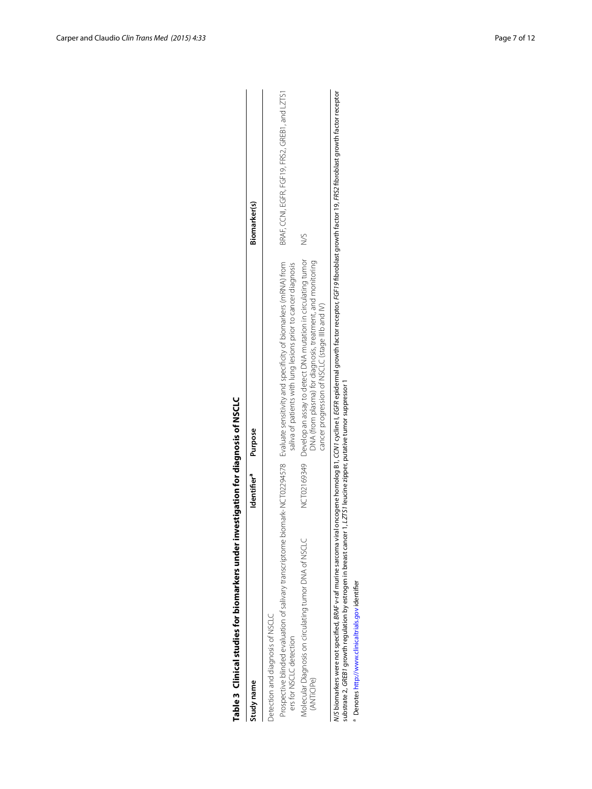| Table 3 (linical studies for biomarkers under investigation for diagnosis of NSCLC                                     |                         |                                                                                                                                                                                                                          |                                                 |
|------------------------------------------------------------------------------------------------------------------------|-------------------------|--------------------------------------------------------------------------------------------------------------------------------------------------------------------------------------------------------------------------|-------------------------------------------------|
| Study name                                                                                                             | Identifier <sup>a</sup> | Purpose                                                                                                                                                                                                                  | Biomarker(s)                                    |
| Detection and diagnosis of NSCLC                                                                                       |                         |                                                                                                                                                                                                                          |                                                 |
| ers for NSCLC detection                                                                                                |                         | Prospective blinded evaluation of salivary transcriptome biomark-NCT02294578 Evaluate sensitivity and specificity of biomarkers (mRNA) from<br>saliva of patients with lung lesions prior to cancer diagnosis            | BRAF, CCNI, EGFR, FGF19, FRS2, GREB1, and LZTS1 |
| Molecular Diagnosis on circulating tumor DNA of NSCLC<br>(ANTICIPe)                                                    |                         | NCT02169349 Develop an assay to detect DNA mutation in circulating tumor<br>DNA (from plasma) for diagnosis, treatment, and monitoring<br>cancer progression of NSCLC (stage IIIb and IV)                                | Š                                               |
| substrate 2, GREB1 growth regulation by estrogen in breast cancer 1, LZTS1 leucine zipper, putative tumor suppressor 1 |                         | M/S biomarkers were not specified. BRAF v-raf murine sarcoma viral oncogene homolog B1, CCM1 cycline I, EGFR epidermal growth factor receptor, FGF19 fibroblast growth factor 19, FRS2 fibroblast growth factor receptor |                                                 |
| <sup>a</sup> Denotes http://www.clinicaltrials.gov identifier                                                          |                         |                                                                                                                                                                                                                          |                                                 |

# <span id="page-6-0"></span>Table 3 Clinical studies for biomarkers under investigation for diagnosis of NSCLC

<sup>a</sup> Denotes http://www.clinicaltrials.gov identifier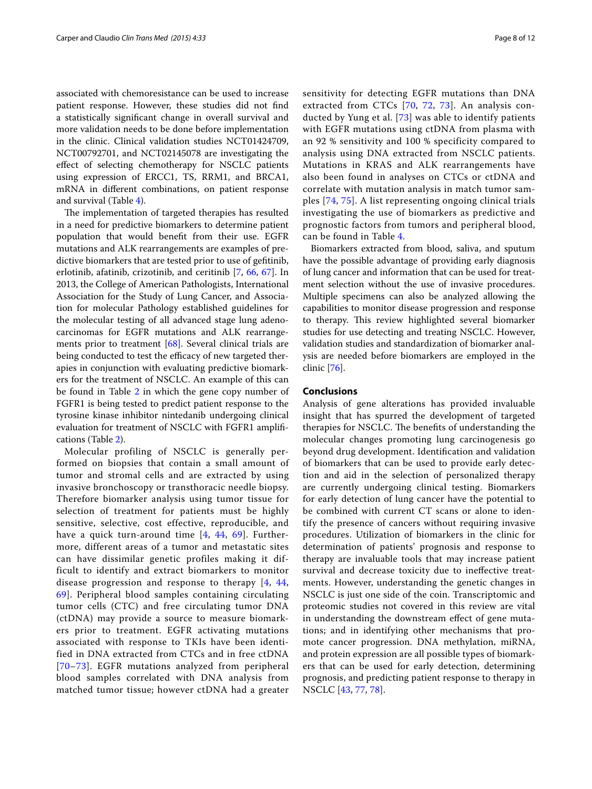associated with chemoresistance can be used to increase patient response. However, these studies did not find a statistically significant change in overall survival and more validation needs to be done before implementation in the clinic. Clinical validation studies NCT01424709, NCT00792701, and NCT02145078 are investigating the effect of selecting chemotherapy for NSCLC patients using expression of ERCC1, TS, RRM1, and BRCA1, mRNA in different combinations, on patient response and survival (Table [4](#page-8-0)).

The implementation of targeted therapies has resulted in a need for predictive biomarkers to determine patient population that would benefit from their use. EGFR mutations and ALK rearrangements are examples of predictive biomarkers that are tested prior to use of gefitinib, erlotinib, afatinib, crizotinib, and ceritinib [[7,](#page-9-5) [66,](#page-10-31) [67](#page-10-32)]. In 2013, the College of American Pathologists, International Association for the Study of Lung Cancer, and Association for molecular Pathology established guidelines for the molecular testing of all advanced stage lung adenocarcinomas for EGFR mutations and ALK rearrangements prior to treatment [[68\]](#page-10-33). Several clinical trials are being conducted to test the efficacy of new targeted therapies in conjunction with evaluating predictive biomarkers for the treatment of NSCLC. An example of this can be found in Table [2](#page-3-0) in which the gene copy number of FGFR1 is being tested to predict patient response to the tyrosine kinase inhibitor nintedanib undergoing clinical evaluation for treatment of NSCLC with FGFR1 amplifications (Table [2\)](#page-3-0).

Molecular profiling of NSCLC is generally performed on biopsies that contain a small amount of tumor and stromal cells and are extracted by using invasive bronchoscopy or transthoracic needle biopsy. Therefore biomarker analysis using tumor tissue for selection of treatment for patients must be highly sensitive, selective, cost effective, reproducible, and have a quick turn-around time [[4](#page-9-3), [44,](#page-10-12) [69](#page-10-34)]. Furthermore, different areas of a tumor and metastatic sites can have dissimilar genetic profiles making it difficult to identify and extract biomarkers to monitor disease progression and response to therapy [[4,](#page-9-3) [44](#page-10-12), [69](#page-10-34)]. Peripheral blood samples containing circulating tumor cells (CTC) and free circulating tumor DNA (ctDNA) may provide a source to measure biomarkers prior to treatment. EGFR activating mutations associated with response to TKIs have been identified in DNA extracted from CTCs and in free ctDNA [[70](#page-11-4)–[73\]](#page-11-5). EGFR mutations analyzed from peripheral blood samples correlated with DNA analysis from matched tumor tissue; however ctDNA had a greater

sensitivity for detecting EGFR mutations than DNA extracted from CTCs [[70](#page-11-4), [72,](#page-11-6) [73](#page-11-5)]. An analysis conducted by Yung et al. [\[73\]](#page-11-5) was able to identify patients with EGFR mutations using ctDNA from plasma with an 92 % sensitivity and 100 % specificity compared to analysis using DNA extracted from NSCLC patients. Mutations in KRAS and ALK rearrangements have also been found in analyses on CTCs or ctDNA and correlate with mutation analysis in match tumor samples [[74](#page-11-7), [75\]](#page-11-8). A list representing ongoing clinical trials investigating the use of biomarkers as predictive and prognostic factors from tumors and peripheral blood, can be found in Table [4](#page-8-0).

Biomarkers extracted from blood, saliva, and sputum have the possible advantage of providing early diagnosis of lung cancer and information that can be used for treatment selection without the use of invasive procedures. Multiple specimens can also be analyzed allowing the capabilities to monitor disease progression and response to therapy. This review highlighted several biomarker studies for use detecting and treating NSCLC. However, validation studies and standardization of biomarker analysis are needed before biomarkers are employed in the clinic [\[76](#page-11-9)].

# **Conclusions**

Analysis of gene alterations has provided invaluable insight that has spurred the development of targeted therapies for NSCLC. The benefits of understanding the molecular changes promoting lung carcinogenesis go beyond drug development. Identification and validation of biomarkers that can be used to provide early detection and aid in the selection of personalized therapy are currently undergoing clinical testing. Biomarkers for early detection of lung cancer have the potential to be combined with current CT scans or alone to identify the presence of cancers without requiring invasive procedures. Utilization of biomarkers in the clinic for determination of patients' prognosis and response to therapy are invaluable tools that may increase patient survival and decrease toxicity due to ineffective treatments. However, understanding the genetic changes in NSCLC is just one side of the coin. Transcriptomic and proteomic studies not covered in this review are vital in understanding the downstream effect of gene mutations; and in identifying other mechanisms that promote cancer progression. DNA methylation, miRNA, and protein expression are all possible types of biomarkers that can be used for early detection, determining prognosis, and predicting patient response to therapy in NSCLC [[43,](#page-10-10) [77,](#page-11-10) [78](#page-11-11)].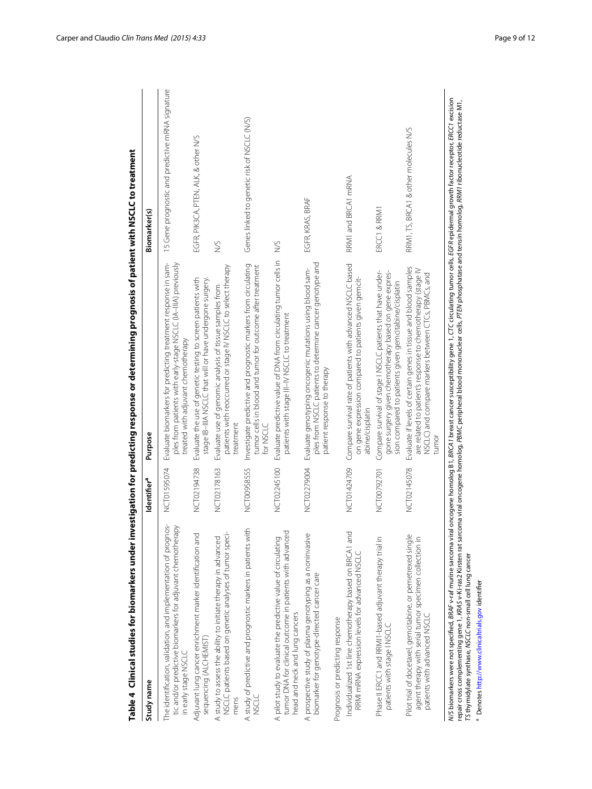| NCT01595074<br>The identification, validation, and implementation of prognos-<br>tic and/or predictive biomarkers for adjuvant chemotherapy                                |                                                                                                                                                                                                |                                                  |
|----------------------------------------------------------------------------------------------------------------------------------------------------------------------------|------------------------------------------------------------------------------------------------------------------------------------------------------------------------------------------------|--------------------------------------------------|
| in early stage NSCLC                                                                                                                                                       | Evaluate biomarkers for predicting treatment response in sam-<br>ples from patients with early-stage NSCLC (IA-IIIA) previously<br>treated with adjuvant chemotherapy                          | 15 Gene prognostic and predictive mRNA signature |
| NCT02194738<br>Adjuvant lung cancer enrichment marker identification and<br>sequencing (ALCHEMIST)                                                                         | Evaluate the use of genetic testing to screen patients with<br>stage IB-IIIA NSCLC that will or have undergone surgery.                                                                        | EGFR, PIK3CA, PTEN, ALK, & other N/S             |
| NCT02178163<br>NSCLC patients based on genetic analyses of tumor speci-<br>A study to assess the ability to initiate therapy in advanced                                   | patients with reoccurred or stage IV NSCLC to select therapy<br>Evaluate use of genomic analysis of tissue samples from<br>treatment                                                           | Š                                                |
| NCT00958555<br>A study of predictive and prognostic markers in patients with<br>USCLC                                                                                      | Investigate predictive and prognostic markers from circulating<br>tumor cells in blood and tumor for outcome after treatment<br>for NSCLC                                                      | Genes linked to genetic risk of NSCLC (N/S)      |
| NCT02245100<br>tumor DNA for clinical outcome in patients with advanced<br>A pilot study to evaluate the predictive value of circulating<br>head and neck and lung cancers | Evaluate predictive value of DNA from circulating tumor cells in<br>patients with stage III-IV NSCLC to treatment                                                                              | S                                                |
| NCT02279004<br>A prospective study of plasma genotyping as a noninvasive<br>biomarker for genotype-directed cancer care                                                    | ples from NSCLC patients to determine cancer genotype and<br>Evaluate genotyping oncogenic mutations using blood sam-<br>patient response to therapy                                           | EGFR, KRAS, BRAF                                 |
| Prognosis or predicting response                                                                                                                                           |                                                                                                                                                                                                |                                                  |
| NCT01424709<br>Individualized 1st line chemotherapy based on BRCA1 and<br>RRMI mRNA expression levels for advanced NSCLC                                                   | Compare survival rate of patients with advanced NSCLC based<br>on gene expression compared to patients given gemcit-<br>abine/cisplatin                                                        | RRM1 and BRCA1 mRNA                              |
| NCT00792701<br>Phase II ERCC1 and RRMI1-based adjuvant therapy trial in<br>patients with stage INSCLC                                                                      | Compare survival of stage I NSCLC patients that have under-<br>gone surgery given chemotherapy based on gene expres-<br>sion compared to patients given gemcitabine/cisplatin                  | ERCC1 & RRM1                                     |
| NCT02145078<br>Pilot trial of docetaxel, gemcitabine, or pemetrexed single<br>agent therapy with serial tumor specimen collection in<br>patients with advanced NSCLC       | Evaluate if levels of certain genes in tissue and blood samples<br>are related to patient's response to chemotherapy (stage IV<br>NSCLC) and compare markers between CTCs, PBMCs, and<br>tumor | RRM1, TS, BRCA1 & other molecules N/S            |

<span id="page-8-0"></span>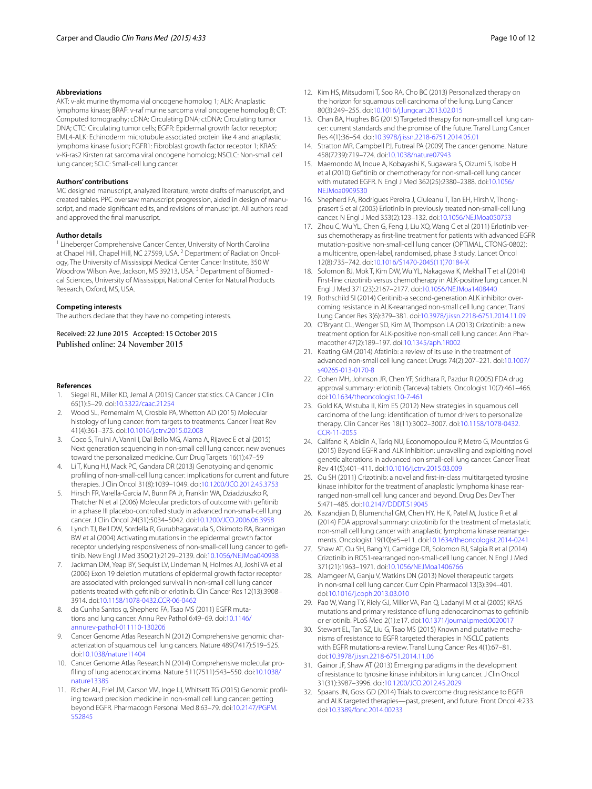### **Abbreviations**

AKT: v-akt murine thymoma vial oncogene homolog 1; ALK: Anaplastic lymphoma kinase; BRAF: v-raf murine sarcoma viral oncogene homolog B; CT: Computed tomography; cDNA: Circulating DNA; ctDNA: Circulating tumor DNA; CTC: Circulating tumor cells; EGFR: Epidermal growth factor receptor; EML4-ALK: Echinoderm microtubule associated protein like 4 and anaplastic lymphoma kinase fusion; FGFR1: Fibroblast growth factor receptor 1; KRAS: v-Ki-ras2 Kirsten rat sarcoma viral oncogene homolog; NSCLC: Non-small cell lung cancer; SCLC: Small-cell lung cancer.

### **Authors' contributions**

MC designed manuscript, analyzed literature, wrote drafts of manuscript, and created tables. PPC oversaw manuscript progression, aided in design of manuscript, and made significant edits, and revisions of manuscript. All authors read and approved the final manuscript.

### **Author details**

<sup>1</sup> Lineberger Comprehensive Cancer Center, University of North Carolina at Chapel Hill, Chapel Hill, NC 27599, USA.<sup>2</sup> Department of Radiation Oncology, The University of Mississippi Medical Center Cancer Institute, 350 W Woodrow Wilson Ave, Jackson, MS 39213, USA.<sup>3</sup> Department of Biomedical Sciences, University of Mississippi, National Center for Natural Products Research, Oxford, MS, USA.

### **Competing interests**

The authors declare that they have no competing interests.

Received: 22 June 2015 Accepted: 15 October 2015 Published online: 24 November 2015

### **References**

- <span id="page-9-0"></span>1. Siegel RL, Miller KD, Jemal A (2015) Cancer statistics. CA Cancer J Clin 65(1):5–29. doi:[10.3322/caac.21254](http://dx.doi.org/10.3322/caac.21254)
- <span id="page-9-1"></span>2. Wood SL, Pernemalm M, Crosbie PA, Whetton AD (2015) Molecular histology of lung cancer: from targets to treatments. Cancer Treat Rev 41(4):361–375. doi:[10.1016/j.ctrv.2015.02.008](http://dx.doi.org/10.1016/j.ctrv.2015.02.008)
- <span id="page-9-2"></span>3. Coco S, Truini A, Vanni I, Dal Bello MG, Alama A, Rijavec E et al (2015) Next generation sequencing in non-small cell lung cancer: new avenues toward the personalized medicine. Curr Drug Targets 16(1):47–59
- <span id="page-9-3"></span>4. Li T, Kung HJ, Mack PC, Gandara DR (2013) Genotyping and genomic profiling of non-small-cell lung cancer: implications for current and future therapies. J Clin Oncol 31(8):1039–1049. doi[:10.1200/JCO.2012.45.3753](http://dx.doi.org/10.1200/JCO.2012.45.3753)
- <span id="page-9-4"></span>5. Hirsch FR, Varella-Garcia M, Bunn PA Jr, Franklin WA, Dziadziuszko R, Thatcher N et al (2006) Molecular predictors of outcome with gefitinib in a phase III placebo-controlled study in advanced non-small-cell lung cancer. J Clin Oncol 24(31):5034–5042. doi[:10.1200/JCO.2006.06.3958](http://dx.doi.org/10.1200/JCO.2006.06.3958)
- <span id="page-9-6"></span>6. Lynch TJ, Bell DW, Sordella R, Gurubhagavatula S, Okimoto RA, Brannigan BW et al (2004) Activating mutations in the epidermal growth factor receptor underlying responsiveness of non-small-cell lung cancer to gefitinib. New Engl J Med 350(21):2129–2139. doi[:10.1056/NEJMoa040938](http://dx.doi.org/10.1056/NEJMoa040938)
- <span id="page-9-5"></span>7. Jackman DM, Yeap BY, Sequist LV, Lindeman N, Holmes AJ, Joshi VA et al (2006) Exon 19 deletion mutations of epidermal growth factor receptor are associated with prolonged survival in non-small cell lung cancer patients treated with gefitinib or erlotinib. Clin Cancer Res 12(13):3908– 3914. doi[:10.1158/1078-0432.CCR-06-0462](http://dx.doi.org/10.1158/1078-0432.CCR-06-0462)
- <span id="page-9-7"></span>8. da Cunha Santos g, Shepherd FA, Tsao MS (2011) EGFR mutations and lung cancer. Annu Rev Pathol 6:49–69. doi[:10.1146/](http://dx.doi.org/10.1146/annurev-pathol-011110-130206) [annurev-pathol-011110-130206](http://dx.doi.org/10.1146/annurev-pathol-011110-130206)
- <span id="page-9-8"></span>9. Cancer Genome Atlas Research N (2012) Comprehensive genomic characterization of squamous cell lung cancers. Nature 489(7417):519–525. doi:[10.1038/nature11404](http://dx.doi.org/10.1038/nature11404)
- <span id="page-9-9"></span>10. Cancer Genome Atlas Research N (2014) Comprehensive molecular profiling of lung adenocarcinoma. Nature 511(7511):543–550. doi:[10.1038/](http://dx.doi.org/10.1038/nature13385) [nature13385](http://dx.doi.org/10.1038/nature13385)
- <span id="page-9-17"></span>11. Richer AL, Friel JM, Carson VM, Inge LJ, Whitsett TG (2015) Genomic profiling toward precision medicine in non-small cell lung cancer: getting beyond EGFR. Pharmacogn Personal Med 8:63–79. doi[:10.2147/PGPM.](http://dx.doi.org/10.2147/PGPM.S52845) [S52845](http://dx.doi.org/10.2147/PGPM.S52845)
- 
- <span id="page-9-25"></span>12. Kim HS, Mitsudomi T, Soo RA, Cho BC (2013) Personalized therapy on the horizon for squamous cell carcinoma of the lung. Lung Cancer 80(3):249–255. doi:[10.1016/j.lungcan.2013.02.015](http://dx.doi.org/10.1016/j.lungcan.2013.02.015)
- <span id="page-9-10"></span>13. Chan BA, Hughes BG (2015) Targeted therapy for non-small cell lung cancer: current standards and the promise of the future. Transl Lung Cancer Res 4(1):36–54. doi:[10.3978/j.issn.2218-6751.2014.05.01](http://dx.doi.org/10.3978/j.issn.2218-6751.2014.05.01)
- <span id="page-9-11"></span>14. Stratton MR, Campbell PJ, Futreal PA (2009) The cancer genome. Nature 458(7239):719–724. doi[:10.1038/nature07943](http://dx.doi.org/10.1038/nature07943)
- <span id="page-9-12"></span>15. Maemondo M, Inoue A, Kobayashi K, Sugawara S, Oizumi S, Isobe H et al (2010) Gefitinib or chemotherapy for non-small-cell lung cancer with mutated EGFR. N Engl J Med 362(25):2380–2388. doi:[10.1056/](http://dx.doi.org/10.1056/NEJMoa0909530) [NEJMoa0909530](http://dx.doi.org/10.1056/NEJMoa0909530)
- 16. Shepherd FA, Rodrigues Pereira J, Ciuleanu T, Tan EH, Hirsh V, Thongprasert S et al (2005) Erlotinib in previously treated non-small-cell lung cancer. N Engl J Med 353(2):123–132. doi:[10.1056/NEJMoa050753](http://dx.doi.org/10.1056/NEJMoa050753)
- 17. Zhou C, Wu YL, Chen G, Feng J, Liu XQ, Wang C et al (2011) Erlotinib versus chemotherapy as first-line treatment for patients with advanced EGFR mutation-positive non-small-cell lung cancer (OPTIMAL, CTONG-0802): a multicentre, open-label, randomised, phase 3 study. Lancet Oncol 12(8):735–742. doi:[10.1016/S1470-2045\(11\)70184-X](http://dx.doi.org/10.1016/S1470-2045(11)70184-X)
- <span id="page-9-13"></span>18. Solomon BJ, Mok T, Kim DW, Wu YL, Nakagawa K, Mekhail T et al (2014) First-line crizotinib versus chemotherapy in ALK-positive lung cancer. N Engl J Med 371(23):2167–2177. doi:[10.1056/NEJMoa1408440](http://dx.doi.org/10.1056/NEJMoa1408440)
- <span id="page-9-14"></span>19. Rothschild SI (2014) Ceritinib-a second-generation ALK inhibitor overcoming resistance in ALK-rearranged non-small cell lung cancer. Transl Lung Cancer Res 3(6):379–381. doi[:10.3978/j.issn.2218-6751.2014.11.09](http://dx.doi.org/10.3978/j.issn.2218-6751.2014.11.09)
- 20. O'Bryant CL, Wenger SD, Kim M, Thompson LA (2013) Crizotinib: a new treatment option for ALK-positive non-small cell lung cancer. Ann Pharmacother 47(2):189–197. doi[:10.1345/aph.1R002](http://dx.doi.org/10.1345/aph.1R002)
- 21. Keating GM (2014) Afatinib: a review of its use in the treatment of advanced non-small cell lung cancer. Drugs 74(2):207–221. doi[:10.1007/](http://dx.doi.org/10.1007/s40265-013-0170-8) [s40265-013-0170-8](http://dx.doi.org/10.1007/s40265-013-0170-8)
- <span id="page-9-15"></span>22. Cohen MH, Johnson JR, Chen YF, Sridhara R, Pazdur R (2005) FDA drug approval summary: erlotinib (Tarceva) tablets. Oncologist 10(7):461–466. doi:[10.1634/theoncologist.10-7-461](http://dx.doi.org/10.1634/theoncologist.10-7-461)
- <span id="page-9-16"></span>23. Gold KA, Wistuba II, Kim ES (2012) New strategies in squamous cell carcinoma of the lung: identification of tumor drivers to personalize therapy. Clin Cancer Res 18(11):3002–3007. doi[:10.1158/1078-0432.](http://dx.doi.org/10.1158/1078-0432.CCR-11-2055) [CCR-11-2055](http://dx.doi.org/10.1158/1078-0432.CCR-11-2055)
- <span id="page-9-18"></span>24. Califano R, Abidin A, Tariq NU, Economopoulou P, Metro G, Mountzios G (2015) Beyond EGFR and ALK inhibition: unravelling and exploiting novel genetic alterations in advanced non small-cell lung cancer. Cancer Treat Rev 41(5):401–411. doi[:10.1016/j.ctrv.2015.03.009](http://dx.doi.org/10.1016/j.ctrv.2015.03.009)
- <span id="page-9-19"></span>25. Ou SH (2011) Crizotinib: a novel and first-in-class multitargeted tyrosine kinase inhibitor for the treatment of anaplastic lymphoma kinase rearranged non-small cell lung cancer and beyond. Drug Des Dev Ther 5:471–485. doi[:10.2147/DDDT.S19045](http://dx.doi.org/10.2147/DDDT.S19045)
- <span id="page-9-20"></span>26. Kazandjian D, Blumenthal GM, Chen HY, He K, Patel M, Justice R et al (2014) FDA approval summary: crizotinib for the treatment of metastatic non-small cell lung cancer with anaplastic lymphoma kinase rearrangements. Oncologist 19(10):e5–e11. doi:[10.1634/theoncologist.2014-0241](http://dx.doi.org/10.1634/theoncologist.2014-0241)
- <span id="page-9-21"></span>27. Shaw AT, Ou SH, Bang YJ, Camidge DR, Solomon BJ, Salgia R et al (2014) Crizotinib in ROS1-rearranged non-small-cell lung cancer. N Engl J Med 371(21):1963–1971. doi[:10.1056/NEJMoa1406766](http://dx.doi.org/10.1056/NEJMoa1406766)
- <span id="page-9-22"></span>28. Alamgeer M, Ganju V, Watkins DN (2013) Novel therapeutic targets in non-small cell lung cancer. Curr Opin Pharmacol 13(3):394–401. doi:[10.1016/j.coph.2013.03.010](http://dx.doi.org/10.1016/j.coph.2013.03.010)
- <span id="page-9-23"></span>29. Pao W, Wang TY, Riely GJ, Miller VA, Pan Q, Ladanyi M et al (2005) KRAS mutations and primary resistance of lung adenocarcinomas to gefitinib or erlotinib. PLoS Med 2(1):e17. doi[:10.1371/journal.pmed.0020017](http://dx.doi.org/10.1371/journal.pmed.0020017)
- 30. Stewart EL, Tan SZ, Liu G, Tsao MS (2015) Known and putative mechanisms of resistance to EGFR targeted therapies in NSCLC patients with EGFR mutations-a review. Transl Lung Cancer Res 4(1):67–81. doi:[10.3978/j.issn.2218-6751.2014.11.06](http://dx.doi.org/10.3978/j.issn.2218-6751.2014.11.06)
- <span id="page-9-24"></span>31. Gainor JF, Shaw AT (2013) Emerging paradigms in the development of resistance to tyrosine kinase inhibitors in lung cancer. J Clin Oncol 31(31):3987–3996. doi:[10.1200/JCO.2012.45.2029](http://dx.doi.org/10.1200/JCO.2012.45.2029)
- <span id="page-9-26"></span>32. Spaans JN, Goss GD (2014) Trials to overcome drug resistance to EGFR and ALK targeted therapies—past, present, and future. Front Oncol 4:233. doi:[10.3389/fonc.2014.00233](http://dx.doi.org/10.3389/fonc.2014.00233)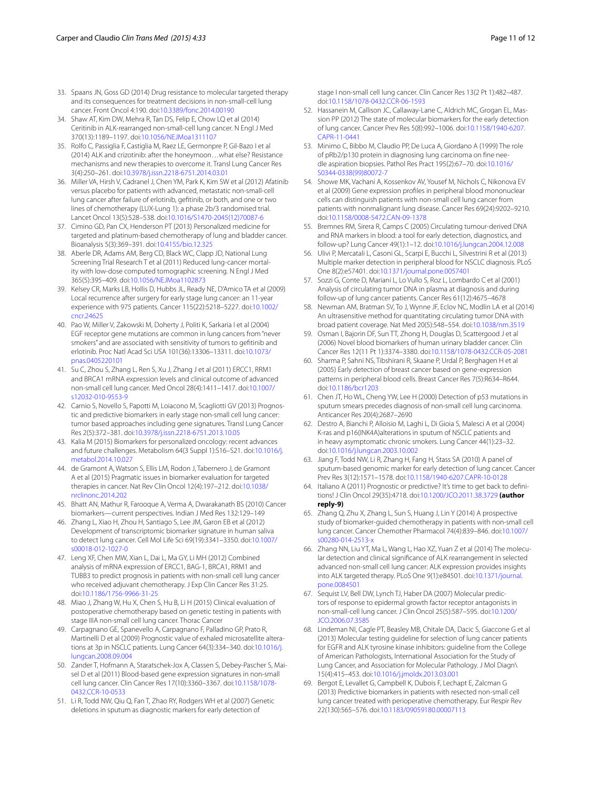- <span id="page-10-0"></span>33. Spaans JN, Goss GD (2014) Drug resistance to molecular targeted therapy and its consequences for treatment decisions in non-small-cell lung cancer. Front Oncol 4:190. doi[:10.3389/fonc.2014.00190](http://dx.doi.org/10.3389/fonc.2014.00190)
- <span id="page-10-1"></span>34. Shaw AT, Kim DW, Mehra R, Tan DS, Felip E, Chow LQ et al (2014) Ceritinib in ALK-rearranged non-small-cell lung cancer. N Engl J Med 370(13):1189–1197. doi[:10.1056/NEJMoa1311107](http://dx.doi.org/10.1056/NEJMoa1311107)
- <span id="page-10-2"></span>35. Rolfo C, Passiglia F, Castiglia M, Raez LE, Germonpre P, Gil-Bazo I et al (2014) ALK and crizotinib: after the honeymoon…what else? Resistance mechanisms and new therapies to overcome it. Transl Lung Cancer Res 3(4):250–261. doi:[10.3978/j.issn.2218-6751.2014.03.01](http://dx.doi.org/10.3978/j.issn.2218-6751.2014.03.01)
- <span id="page-10-3"></span>36. Miller VA, Hirsh V, Cadranel J, Chen YM, Park K, Kim SW et al (2012) Afatinib versus placebo for patients with advanced, metastatic non-small-cell lung cancer after failure of erlotinib, gefitinib, or both, and one or two lines of chemotherapy (LUX-Lung 1): a phase 2b/3 randomised trial. Lancet Oncol 13(5):528–538. doi:[10.1016/S1470-2045\(12\)70087-6](http://dx.doi.org/10.1016/S1470-2045(12)70087-6)
- <span id="page-10-4"></span>37. Cimino GD, Pan CX, Henderson PT (2013) Personalized medicine for targeted and platinum-based chemotherapy of lung and bladder cancer. Bioanalysis 5(3):369–391. doi:[10.4155/bio.12.325](http://dx.doi.org/10.4155/bio.12.325)
- <span id="page-10-5"></span>38. Aberle DR, Adams AM, Berg CD, Black WC, Clapp JD, National Lung Screening Trial Research T et al (2011) Reduced lung-cancer mortality with low-dose computed tomographic screening. N Engl J Med 365(5):395–409. doi[:10.1056/NEJMoa1102873](http://dx.doi.org/10.1056/NEJMoa1102873)
- <span id="page-10-6"></span>39. Kelsey CR, Marks LB, Hollis D, Hubbs JL, Ready NE, D'Amico TA et al (2009) Local recurrence after surgery for early stage lung cancer: an 11-year experience with 975 patients. Cancer 115(22):5218–5227. doi[:10.1002/](http://dx.doi.org/10.1002/cncr.24625) [cncr.24625](http://dx.doi.org/10.1002/cncr.24625)
- <span id="page-10-7"></span>40. Pao W, Miller V, Zakowski M, Doherty J, Politi K, Sarkaria I et al (2004) EGF receptor gene mutations are common in lung cancers from "never smokers" and are associated with sensitivity of tumors to gefitinib and erlotinib. Proc Natl Acad Sci USA 101(36):13306–13311. doi:[10.1073/](http://dx.doi.org/10.1073/pnas.0405220101) [pnas.0405220101](http://dx.doi.org/10.1073/pnas.0405220101)
- <span id="page-10-8"></span>41. Su C, Zhou S, Zhang L, Ren S, Xu J, Zhang J et al (2011) ERCC1, RRM1 and BRCA1 mRNA expression levels and clinical outcome of advanced non-small cell lung cancer. Med Oncol 28(4):1411–1417. doi:[10.1007/](http://dx.doi.org/10.1007/s12032-010-9553-9) [s12032-010-9553-9](http://dx.doi.org/10.1007/s12032-010-9553-9)
- <span id="page-10-9"></span>42. Carnio S, Novello S, Papotti M, Loiacono M, Scagliotti GV (2013) Prognostic and predictive biomarkers in early stage non-small cell lung cancer: tumor based approaches including gene signatures. Transl Lung Cancer Res 2(5):372–381. doi:[10.3978/j.issn.2218-6751.2013.10.05](http://dx.doi.org/10.3978/j.issn.2218-6751.2013.10.05)
- <span id="page-10-10"></span>43. Kalia M (2015) Biomarkers for personalized oncology: recent advances and future challenges. Metabolism 64(3 Suppl 1):S16–S21. doi[:10.1016/j.](http://dx.doi.org/10.1016/j.metabol.2014.10.027) [metabol.2014.10.027](http://dx.doi.org/10.1016/j.metabol.2014.10.027)
- <span id="page-10-12"></span>44. de Gramont A, Watson S, Ellis LM, Rodon J, Tabernero J, de Gramont A et al (2015) Pragmatic issues in biomarker evaluation for targeted therapies in cancer. Nat Rev Clin Oncol 12(4):197–212. doi[:10.1038/](http://dx.doi.org/10.1038/nrclinonc.2014.202) [nrclinonc.2014.202](http://dx.doi.org/10.1038/nrclinonc.2014.202)
- <span id="page-10-11"></span>45. Bhatt AN, Mathur R, Farooque A, Verma A, Dwarakanath BS (2010) Cancer biomarkers—current perspectives. Indian J Med Res 132:129–149
- <span id="page-10-13"></span>46. Zhang L, Xiao H, Zhou H, Santiago S, Lee JM, Garon EB et al (2012) Development of transcriptomic biomarker signature in human saliva to detect lung cancer. Cell Mol Life Sci 69(19):3341–3350. doi[:10.1007/](http://dx.doi.org/10.1007/s00018-012-1027-0) [s00018-012-1027-0](http://dx.doi.org/10.1007/s00018-012-1027-0)
- <span id="page-10-28"></span>47. Leng XF, Chen MW, Xian L, Dai L, Ma GY, Li MH (2012) Combined analysis of mRNA expression of ERCC1, BAG-1, BRCA1, RRM1 and TUBB3 to predict prognosis in patients with non-small cell lung cancer who received adjuvant chemotherapy. J Exp Clin Cancer Res 31:25. doi:[10.1186/1756-9966-31-25](http://dx.doi.org/10.1186/1756-9966-31-25)
- <span id="page-10-29"></span>48. Miao J, Zhang W, Hu X, Chen S, Hu B, Li H (2015) Clinical evaluation of postoperative chemotherapy based on genetic testing in patients with stage IIIA non-small cell lung cancer. Thorac Cancer
- 49. Carpagnano GE, Spanevello A, Carpagnano F, Palladino GP, Prato R, Martinelli D et al (2009) Prognostic value of exhaled microsatellite alterations at 3p in NSCLC patients. Lung Cancer 64(3):334–340. doi:[10.1016/j.](http://dx.doi.org/10.1016/j.lungcan.2008.09.004) [lungcan.2008.09.004](http://dx.doi.org/10.1016/j.lungcan.2008.09.004)
- 50. Zander T, Hofmann A, Staratschek-Jox A, Classen S, Debey-Pascher S, Maisel D et al (2011) Blood-based gene expression signatures in non-small cell lung cancer. Clin Cancer Res 17(10):3360–3367. doi:[10.1158/1078-](http://dx.doi.org/10.1158/1078-0432.CCR-10-0533) [0432.CCR-10-0533](http://dx.doi.org/10.1158/1078-0432.CCR-10-0533)
- <span id="page-10-14"></span>51. Li R, Todd NW, Qiu Q, Fan T, Zhao RY, Rodgers WH et al (2007) Genetic deletions in sputum as diagnostic markers for early detection of

stage I non-small cell lung cancer. Clin Cancer Res 13(2 Pt 1):482–487. doi:[10.1158/1078-0432.CCR-06-1593](http://dx.doi.org/10.1158/1078-0432.CCR-06-1593)

- <span id="page-10-15"></span>52. Hassanein M, Callison JC, Callaway-Lane C, Aldrich MC, Grogan EL, Massion PP (2012) The state of molecular biomarkers for the early detection of lung cancer. Cancer Prev Res 5(8):992–1006. doi:[10.1158/1940-6207.](http://dx.doi.org/10.1158/1940-6207.CAPR-11-0441) [CAPR-11-0441](http://dx.doi.org/10.1158/1940-6207.CAPR-11-0441)
- <span id="page-10-16"></span>53. Minimo C, Bibbo M, Claudio PP, De Luca A, Giordano A (1999) The role of pRb2/p130 protein in diagnosing lung carcinoma on fine needle aspiration biopsies. Pathol Res Pract 195(2):67–70. doi[:10.1016/](http://dx.doi.org/10.1016/S0344-0338(99)80072-7) [S0344-0338\(99\)80072-7](http://dx.doi.org/10.1016/S0344-0338(99)80072-7)
- <span id="page-10-17"></span>54. Showe MK, Vachani A, Kossenkov AV, Yousef M, Nichols C, Nikonova EV et al (2009) Gene expression profiles in peripheral blood mononuclear cells can distinguish patients with non-small cell lung cancer from patients with nonmalignant lung disease. Cancer Res 69(24):9202–9210. doi:[10.1158/0008-5472.CAN-09-1378](http://dx.doi.org/10.1158/0008-5472.CAN-09-1378)
- <span id="page-10-18"></span>55. Bremnes RM, Sirera R, Camps C (2005) Circulating tumour-derived DNA and RNA markers in blood: a tool for early detection, diagnostics, and follow-up? Lung Cancer 49(1):1–12. doi[:10.1016/j.lungcan.2004.12.008](http://dx.doi.org/10.1016/j.lungcan.2004.12.008)
- <span id="page-10-19"></span>56. Ulivi P, Mercatali L, Casoni GL, Scarpi E, Bucchi L, Silvestrini R et al (2013) Multiple marker detection in peripheral blood for NSCLC diagnosis. PLoS One 8(2):e57401. doi[:10.1371/journal.pone.0057401](http://dx.doi.org/10.1371/journal.pone.0057401)
- <span id="page-10-20"></span>57. Sozzi G, Conte D, Mariani L, Lo Vullo S, Roz L, Lombardo C et al (2001) Analysis of circulating tumor DNA in plasma at diagnosis and during follow-up of lung cancer patients. Cancer Res 61(12):4675–4678
- <span id="page-10-21"></span>58. Newman AM, Bratman SV, To J, Wynne JF, Eclov NC, Modlin LA et al (2014) An ultrasensitive method for quantitating circulating tumor DNA with broad patient coverage. Nat Med 20(5):548–554. doi:[10.1038/nm.3519](http://dx.doi.org/10.1038/nm.3519)
- <span id="page-10-22"></span>59. Osman I, Bajorin DF, Sun TT, Zhong H, Douglas D, Scattergood J et al (2006) Novel blood biomarkers of human urinary bladder cancer. Clin Cancer Res 12(11 Pt 1):3374–3380. doi[:10.1158/1078-0432.CCR-05-2081](http://dx.doi.org/10.1158/1078-0432.CCR-05-2081)
- <span id="page-10-23"></span>60. Sharma P, Sahni NS, Tibshirani R, Skaane P, Urdal P, Berghagen H et al (2005) Early detection of breast cancer based on gene-expression patterns in peripheral blood cells. Breast Cancer Res 7(5):R634–R644. doi:[10.1186/bcr1203](http://dx.doi.org/10.1186/bcr1203)
- <span id="page-10-24"></span>61. Chen JT, Ho WL, Cheng YW, Lee H (2000) Detection of p53 mutations in sputum smears precedes diagnosis of non-small cell lung carcinoma. Anticancer Res 20(4):2687–2690
- <span id="page-10-25"></span>62. Destro A, Bianchi P, Alloisio M, Laghi L, Di Gioia S, Malesci A et al (2004) K-ras and p16(INK4A)alterations in sputum of NSCLC patients and in heavy asymptomatic chronic smokers. Lung Cancer 44(1):23–32. doi:[10.1016/j.lungcan.2003.10.002](http://dx.doi.org/10.1016/j.lungcan.2003.10.002)
- <span id="page-10-26"></span>63. Jiang F, Todd NW, Li R, Zhang H, Fang H, Stass SA (2010) A panel of sputum-based genomic marker for early detection of lung cancer. Cancer Prev Res 3(12):1571–1578. doi[:10.1158/1940-6207.CAPR-10-0128](http://dx.doi.org/10.1158/1940-6207.CAPR-10-0128)
- <span id="page-10-27"></span>64. Italiano A (2011) Prognostic or predictive? It's time to get back to definitions! J Clin Oncol 29(35):4718. doi[:10.1200/JCO.2011.38.3729](http://dx.doi.org/10.1200/JCO.2011.38.3729) **(author reply-9)**
- <span id="page-10-30"></span>65. Zhang Q, Zhu X, Zhang L, Sun S, Huang J, Lin Y (2014) A prospective study of biomarker-guided chemotherapy in patients with non-small cell lung cancer. Cancer Chemother Pharmacol 74(4):839–846. doi[:10.1007/](http://dx.doi.org/10.1007/s00280-014-2513-x) [s00280-014-2513-x](http://dx.doi.org/10.1007/s00280-014-2513-x)
- <span id="page-10-31"></span>66. Zhang NN, Liu YT, Ma L, Wang L, Hao XZ, Yuan Z et al (2014) The molecular detection and clinical significance of ALK rearrangement in selected advanced non-small cell lung cancer: ALK expression provides insights into ALK targeted therapy. PLoS One 9(1):e84501. doi[:10.1371/journal.](http://dx.doi.org/10.1371/journal.pone.0084501) [pone.0084501](http://dx.doi.org/10.1371/journal.pone.0084501)
- <span id="page-10-32"></span>67. Sequist LV, Bell DW, Lynch TJ, Haber DA (2007) Molecular predictors of response to epidermal growth factor receptor antagonists in non-small-cell lung cancer. J Clin Oncol 25(5):587–595. doi[:10.1200/](http://dx.doi.org/10.1200/JCO.2006.07.3585) [JCO.2006.07.3585](http://dx.doi.org/10.1200/JCO.2006.07.3585)
- <span id="page-10-33"></span>68. Lindeman NI, Cagle PT, Beasley MB, Chitale DA, Dacic S, Giaccone G et al (2013) Molecular testing guideline for selection of lung cancer patients for EGFR and ALK tyrosine kinase inhibitors: guideline from the College of American Pathologists, International Association for the Study of Lung Cancer, and Association for Molecular Pathology. J Mol Diagn\ 15(4):415–453. doi:[10.1016/j.jmoldx.2013.03.001](http://dx.doi.org/10.1016/j.jmoldx.2013.03.001)
- <span id="page-10-34"></span>69. Bergot E, Levallet G, Campbell K, Dubois F, Lechapt E, Zalcman G (2013) Predictive biomarkers in patients with resected non-small cell lung cancer treated with perioperative chemotherapy. Eur Respir Rev 22(130):565–576. doi:[10.1183/09059180.00007113](http://dx.doi.org/10.1183/09059180.00007113)